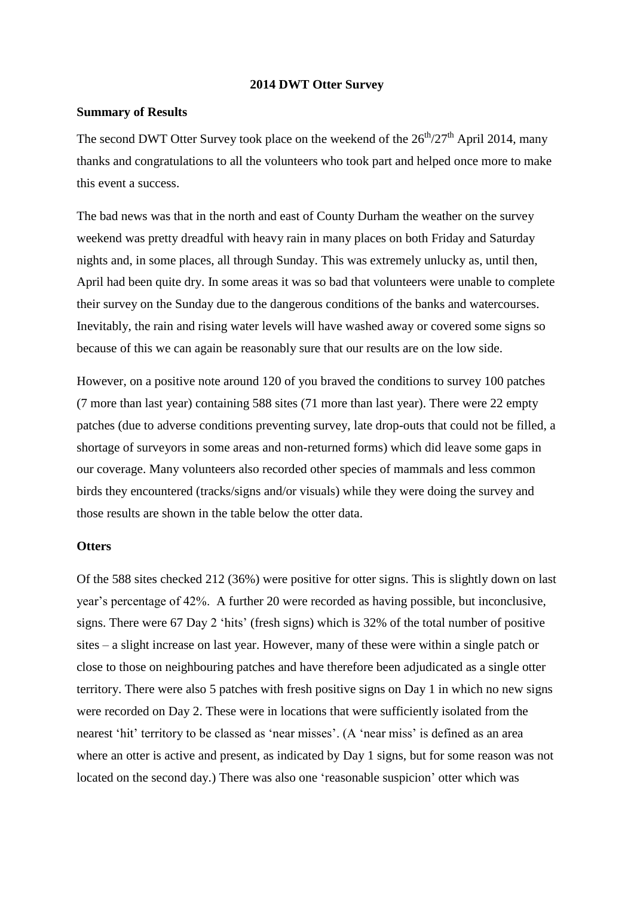#### **2014 DWT Otter Survey**

## **Summary of Results**

The second DWT Otter Survey took place on the weekend of the  $26<sup>th</sup>/27<sup>th</sup>$  April 2014, many thanks and congratulations to all the volunteers who took part and helped once more to make this event a success.

The bad news was that in the north and east of County Durham the weather on the survey weekend was pretty dreadful with heavy rain in many places on both Friday and Saturday nights and, in some places, all through Sunday. This was extremely unlucky as, until then, April had been quite dry. In some areas it was so bad that volunteers were unable to complete their survey on the Sunday due to the dangerous conditions of the banks and watercourses. Inevitably, the rain and rising water levels will have washed away or covered some signs so because of this we can again be reasonably sure that our results are on the low side.

However, on a positive note around 120 of you braved the conditions to survey 100 patches (7 more than last year) containing 588 sites (71 more than last year). There were 22 empty patches (due to adverse conditions preventing survey, late drop-outs that could not be filled, a shortage of surveyors in some areas and non-returned forms) which did leave some gaps in our coverage. Many volunteers also recorded other species of mammals and less common birds they encountered (tracks/signs and/or visuals) while they were doing the survey and those results are shown in the table below the otter data.

### **Otters**

Of the 588 sites checked 212 (36%) were positive for otter signs. This is slightly down on last year's percentage of 42%. A further 20 were recorded as having possible, but inconclusive, signs. There were 67 Day 2 'hits' (fresh signs) which is 32% of the total number of positive sites – a slight increase on last year. However, many of these were within a single patch or close to those on neighbouring patches and have therefore been adjudicated as a single otter territory. There were also 5 patches with fresh positive signs on Day 1 in which no new signs were recorded on Day 2. These were in locations that were sufficiently isolated from the nearest 'hit' territory to be classed as 'near misses'. (A 'near miss' is defined as an area where an otter is active and present, as indicated by Day 1 signs, but for some reason was not located on the second day.) There was also one 'reasonable suspicion' otter which was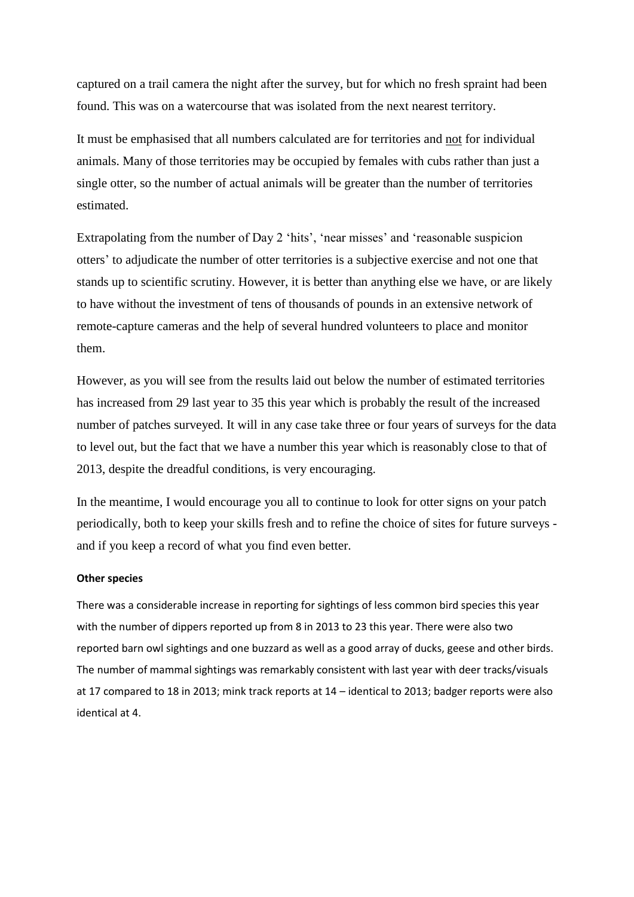captured on a trail camera the night after the survey, but for which no fresh spraint had been found. This was on a watercourse that was isolated from the next nearest territory.

It must be emphasised that all numbers calculated are for territories and not for individual animals. Many of those territories may be occupied by females with cubs rather than just a single otter, so the number of actual animals will be greater than the number of territories estimated.

Extrapolating from the number of Day 2 'hits', 'near misses' and 'reasonable suspicion otters' to adjudicate the number of otter territories is a subjective exercise and not one that stands up to scientific scrutiny. However, it is better than anything else we have, or are likely to have without the investment of tens of thousands of pounds in an extensive network of remote-capture cameras and the help of several hundred volunteers to place and monitor them.

However, as you will see from the results laid out below the number of estimated territories has increased from 29 last year to 35 this year which is probably the result of the increased number of patches surveyed. It will in any case take three or four years of surveys for the data to level out, but the fact that we have a number this year which is reasonably close to that of 2013, despite the dreadful conditions, is very encouraging.

In the meantime, I would encourage you all to continue to look for otter signs on your patch periodically, both to keep your skills fresh and to refine the choice of sites for future surveys and if you keep a record of what you find even better.

#### **Other species**

There was a considerable increase in reporting for sightings of less common bird species this year with the number of dippers reported up from 8 in 2013 to 23 this year. There were also two reported barn owl sightings and one buzzard as well as a good array of ducks, geese and other birds. The number of mammal sightings was remarkably consistent with last year with deer tracks/visuals at 17 compared to 18 in 2013; mink track reports at 14 – identical to 2013; badger reports were also identical at 4.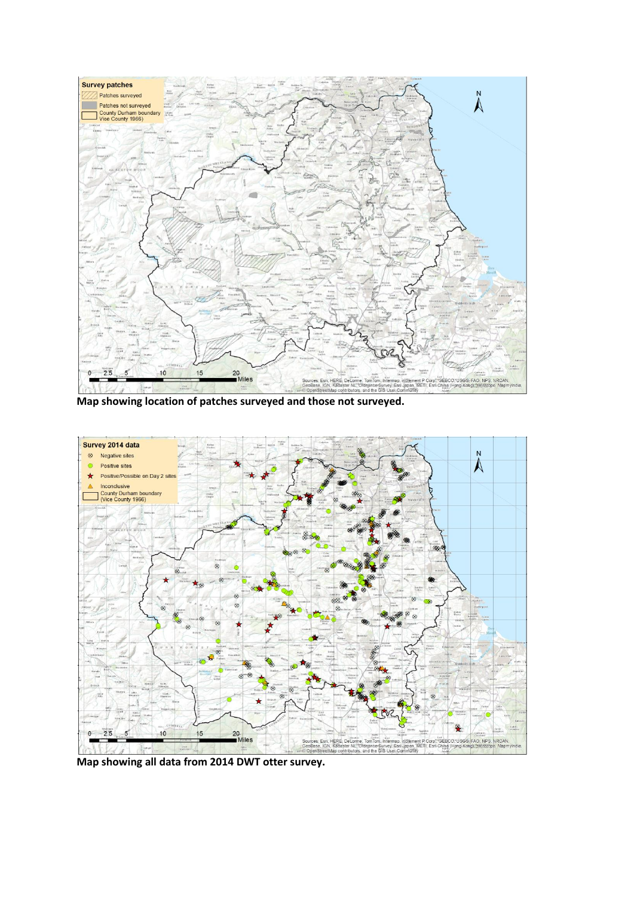

**Map showing location of patches surveyed and those not surveyed.**



**Map showing all data from 2014 DWT otter survey.**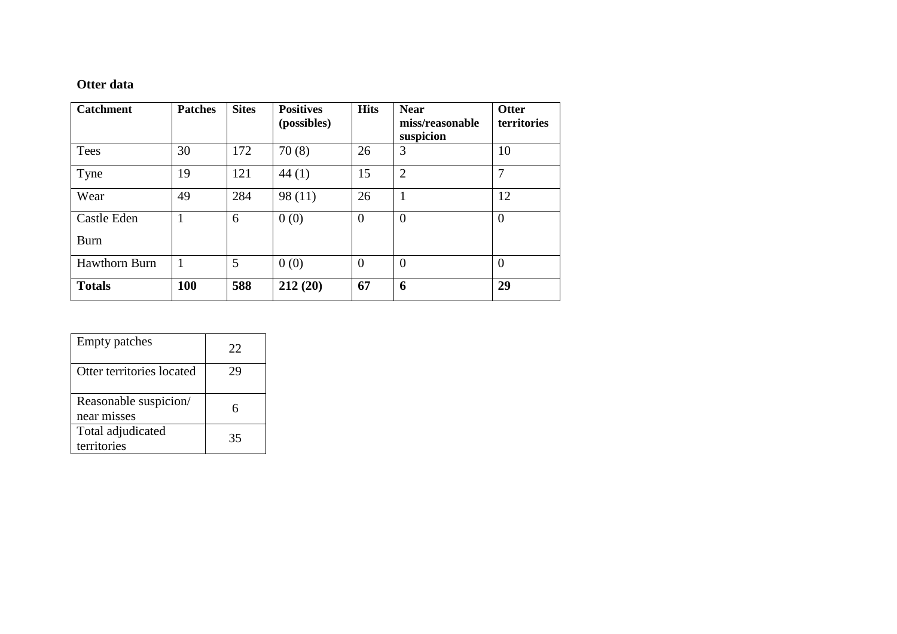# **Otter data**

| <b>Catchment</b>           | <b>Patches</b> | <b>Sites</b> | <b>Positives</b><br>(possibles) | <b>Hits</b>    | <b>Near</b><br>miss/reasonable<br>suspicion | <b>Otter</b><br>territories |
|----------------------------|----------------|--------------|---------------------------------|----------------|---------------------------------------------|-----------------------------|
| Tees                       | 30             | 172          | 70(8)                           | 26             | 3                                           | 10                          |
| Tyne                       | 19             | 121          | 44(1)                           | 15             | $\overline{2}$                              | 7                           |
| Wear                       | 49             | 284          | 98(11)                          | 26             | 1                                           | 12                          |
| Castle Eden<br><b>Burn</b> |                | 6            | 0(0)                            | $\overline{0}$ | $\overline{0}$                              | $\overline{0}$              |
| <b>Hawthorn Burn</b>       |                | 5            | 0(0)                            | $\overline{0}$ | $\overline{0}$                              | $\overline{0}$              |
| <b>Totals</b>              | <b>100</b>     | 588          | 212(20)                         | 67             | 6                                           | 29                          |

| <b>Empty patches</b>                 | 22 |
|--------------------------------------|----|
| Otter territories located            | 29 |
| Reasonable suspicion/<br>near misses |    |
| Total adjudicated<br>territories     | 35 |